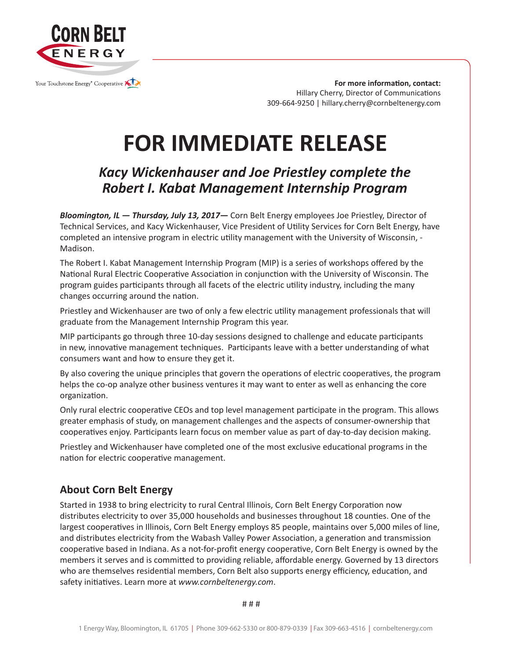

**For more information, contact:** Hillary Cherry, Director of Communications 309-664-9250 | hillary.cherry@cornbeltenergy.com

## **FOR IMMEDIATE RELEASE**

## *Kacy Wickenhauser and Joe Priestley complete the Robert I. Kabat Management Internship Program*

*Bloomington, IL — Thursday, July 13, 2017—* Corn Belt Energy employees Joe Priestley, Director of Technical Services, and Kacy Wickenhauser, Vice President of Utility Services for Corn Belt Energy, have completed an intensive program in electric utility management with the University of Wisconsin, - Madison.

The Robert I. Kabat Management Internship Program (MIP) is a series of workshops offered by the National Rural Electric Cooperative Association in conjunction with the University of Wisconsin. The program guides participants through all facets of the electric utility industry, including the many changes occurring around the nation.

Priestley and Wickenhauser are two of only a few electric utility management professionals that will graduate from the Management Internship Program this year.

MIP participants go through three 10-day sessions designed to challenge and educate participants in new, innovative management techniques. Participants leave with a better understanding of what consumers want and how to ensure they get it.

By also covering the unique principles that govern the operations of electric cooperatives, the program helps the co-op analyze other business ventures it may want to enter as well as enhancing the core organization.

Only rural electric cooperative CEOs and top level management participate in the program. This allows greater emphasis of study, on management challenges and the aspects of consumer-ownership that cooperatives enjoy. Participants learn focus on member value as part of day-to-day decision making.

Priestley and Wickenhauser have completed one of the most exclusive educational programs in the nation for electric cooperative management.

## **About Corn Belt Energy**

Started in 1938 to bring electricity to rural Central Illinois, Corn Belt Energy Corporation now distributes electricity to over 35,000 households and businesses throughout 18 counties. One of the largest cooperatives in Illinois, Corn Belt Energy employs 85 people, maintains over 5,000 miles of line, and distributes electricity from the Wabash Valley Power Association, a generation and transmission cooperative based in Indiana. As a not-for-profit energy cooperative, Corn Belt Energy is owned by the members it serves and is committed to providing reliable, affordable energy. Governed by 13 directors who are themselves residential members, Corn Belt also supports energy efficiency, education, and safety initiatives. Learn more at *www.cornbeltenergy.com*.